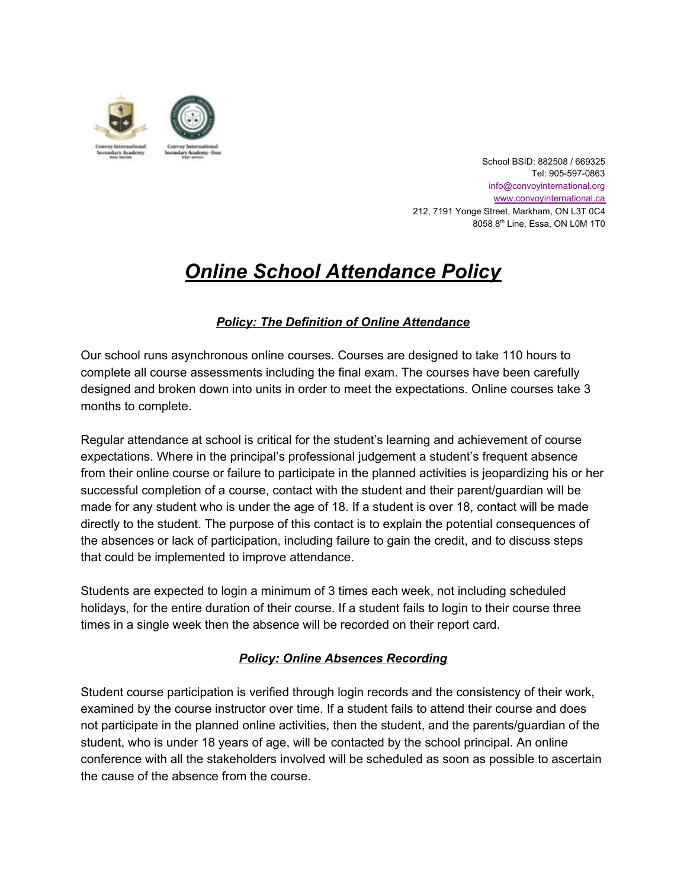

School BSID: 882508 / 669325 Tel: 905-597-0863 info@convoyinternational.org [www.convoyinternational.c](http://www.convoyinternational.org/)a 212, 7191 Yonge Street, Markham, ON L3T 0C4 8058 8<sup>th</sup> Line, Essa, ON L0M 1T0

# *Online School Attendance Policy*

# *Policy: The Definition of Online Attendance*

Our school runs asynchronous online courses. Courses are designed to take 110 hours to complete all course assessments including the final exam. The courses have been carefully designed and broken down into units in order to meet the expectations. Online courses take 3 months to complete.

Regular attendance at school is critical for the student's learning and achievement of course expectations. Where in the principal's professional judgement a student's frequent absence from their online course or failure to participate in the planned activities is jeopardizing his or her successful completion of a course, contact with the student and their parent/guardian will be made for any student who is under the age of 18. If a student is over 18, contact will be made directly to the student. The purpose of this contact is to explain the potential consequences of the absences or lack of participation, including failure to gain the credit, and to discuss steps that could be implemented to improve attendance.

Students are expected to login a minimum of 3 times each week, not including scheduled holidays, for the entire duration of their course. If a student fails to login to their course three times in a single week then the absence will be recorded on their report card.

## *Policy: Online Absences Recording*

Student course participation is verified through login records and the consistency of their work, examined by the course instructor over time. If a student fails to attend their course and does not participate in the planned online activities, then the student, and the parents/guardian of the student, who is under 18 years of age, will be contacted by the school principal. An online conference with all the stakeholders involved will be scheduled as soon as possible to ascertain the cause of the absence from the course.